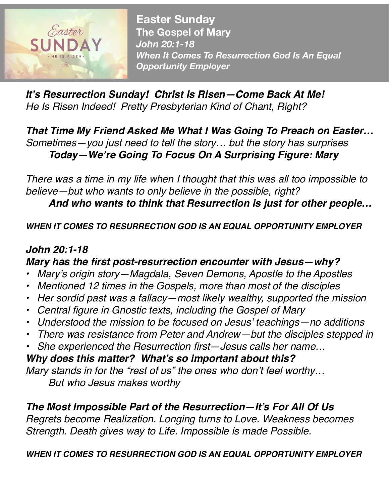

**Easter Sunday The Gospel of Mary**  *John 20:1-18 When It Comes To Resurrection God Is An Equal Opportunity Employer*

*It's Resurrection Sunday! Christ Is Risen—Come Back At Me! He Is Risen Indeed! Pretty Presbyterian Kind of Chant, Right?*

*That Time My Friend Asked Me What I Was Going To Preach on Easter… Sometimes—you just need to tell the story… but the story has surprises Today—We're Going To Focus On A Surprising Figure: Mary*

*There was a time in my life when I thought that this was all too impossible to believe—but who wants to only believe in the possible, right?* 

*And who wants to think that Resurrection is just for other people…*

*WHEN IT COMES TO RESURRECTION GOD IS AN EQUAL OPPORTUNITY EMPLOYER* 

## *John 20:1-18 Mary has the first post-resurrection encounter with Jesus—why?*

- *• Mary's origin story—Magdala, Seven Demons, Apostle to the Apostles*
- *• Mentioned 12 times in the Gospels, more than most of the disciples*
- *• Her sordid past was a fallacy—most likely wealthy, supported the mission*
- *• Central figure in Gnostic texts, including the Gospel of Mary*
- *• Understood the mission to be focused on Jesus' teachings—no additions*
- *• There was resistance from Peter and Andrew—but the disciples stepped in*
- *• She experienced the Resurrection first—Jesus calls her name…*

*Why does this matter? What's so important about this? Mary stands in for the "rest of us" the ones who don't feel worthy… But who Jesus makes worthy* 

### *The Most Impossible Part of the Resurrection—It's For All Of Us*

*Regrets become Realization. Longing turns to Love. Weakness becomes Strength. Death gives way to Life. Impossible is made Possible.*

#### *WHEN IT COMES TO RESURRECTION GOD IS AN EQUAL OPPORTUNITY EMPLOYER*